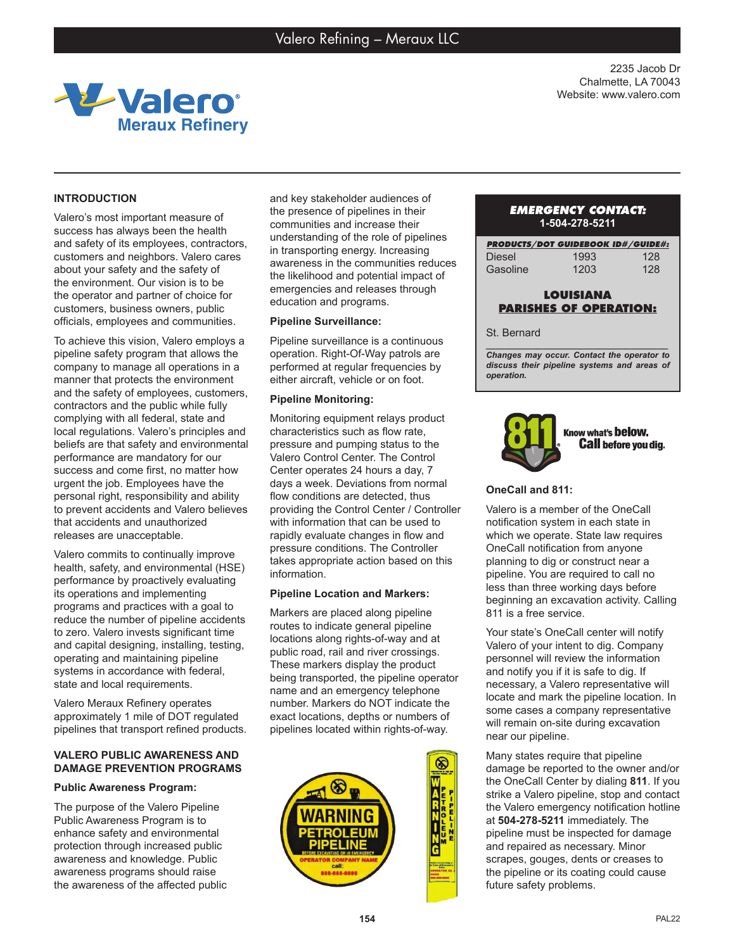

2235 Jacob Dr Chalmette, LA 70043 Website: www.valero.com

# **INTRODUCTION**

Valero's most important measure of success has always been the health and safety of its employees, contractors, customers and neighbors. Valero cares about your safety and the safety of the environment. Our vision is to be the operator and partner of choice for customers, business owners, public officials, employees and communities.

To achieve this vision, Valero employs a pipeline safety program that allows the company to manage all operations in a manner that protects the environment and the safety of employees, customers, contractors and the public while fully complying with all federal, state and local regulations. Valero's principles and beliefs are that safety and environmental performance are mandatory for our success and come first, no matter how urgent the job. Employees have the personal right, responsibility and ability to prevent accidents and Valero believes that accidents and unauthorized releases are unacceptable.

Valero commits to continually improve health, safety, and environmental (HSE) performance by proactively evaluating its operations and implementing programs and practices with a goal to reduce the number of pipeline accidents to zero. Valero invests significant time and capital designing, installing, testing, operating and maintaining pipeline systems in accordance with federal, state and local requirements.

Valero Meraux Refinery operates approximately 1 mile of DOT regulated pipelines that transport refined products.

## **VALERO PUBLIC AWARENESS AND DAMAGE PREVENTION PROGRAMS**

### **Public Awareness Program:**

The purpose of the Valero Pipeline Public Awareness Program is to enhance safety and environmental protection through increased public awareness and knowledge. Public awareness programs should raise the awareness of the affected public and key stakeholder audiences of the presence of pipelines in their communities and increase their understanding of the role of pipelines in transporting energy. Increasing awareness in the communities reduces the likelihood and potential impact of emergencies and releases through education and programs.

### **Pipeline Surveillance:**

Pipeline surveillance is a continuous operation. Right-Of-Way patrols are performed at regular frequencies by either aircraft, vehicle or on foot.

### **Pipeline Monitoring:**

Monitoring equipment relays product characteristics such as flow rate, pressure and pumping status to the Valero Control Center. The Control Center operates 24 hours a day, 7 days a week. Deviations from normal flow conditions are detected, thus providing the Control Center / Controller with information that can be used to rapidly evaluate changes in flow and pressure conditions. The Controller takes appropriate action based on this information.

### **Pipeline Location and Markers:**

Markers are placed along pipeline routes to indicate general pipeline locations along rights-of-way and at public road, rail and river crossings. These markers display the product being transported, the pipeline operator name and an emergency telephone number. Markers do NOT indicate the exact locations, depths or numbers of pipelines located within rights-of-way.



### *EMERGENCY CONTACT:* **1-504-278-5211**

| <b>PRODUCTS/DOT GUIDEBOOK ID#/GUIDE#:</b> |      |     |
|-------------------------------------------|------|-----|
| <b>Diesel</b>                             | 1993 | 128 |
| Gasoline                                  | 1203 | 128 |

# **LOUISIANA PARISHES OF OPERATION:**

#### St. Bernard

*\_\_\_\_\_\_\_\_\_\_\_\_\_\_\_\_\_\_\_\_\_\_\_\_\_\_\_\_\_\_\_\_\_\_\_\_\_\_\_ Changes may occur. Contact the operator to discuss their pipeline systems and areas of operation.*



## **OneCall and 811:**

Valero is a member of the OneCall notification system in each state in which we operate. State law requires OneCall notification from anyone planning to dig or construct near a pipeline. You are required to call no less than three working days before beginning an excavation activity. Calling 811 is a free service.

Your state's OneCall center will notify Valero of your intent to dig. Company personnel will review the information and notify you if it is safe to dig. If necessary, a Valero representative will locate and mark the pipeline location. In some cases a company representative will remain on-site during excavation near our pipeline.

Many states require that pipeline damage be reported to the owner and/or the OneCall Center by dialing **811**. If you strike a Valero pipeline, stop and contact the Valero emergency notification hotline at **504-278-5211** immediately. The pipeline must be inspected for damage and repaired as necessary. Minor scrapes, gouges, dents or creases to the pipeline or its coating could cause future safety problems.